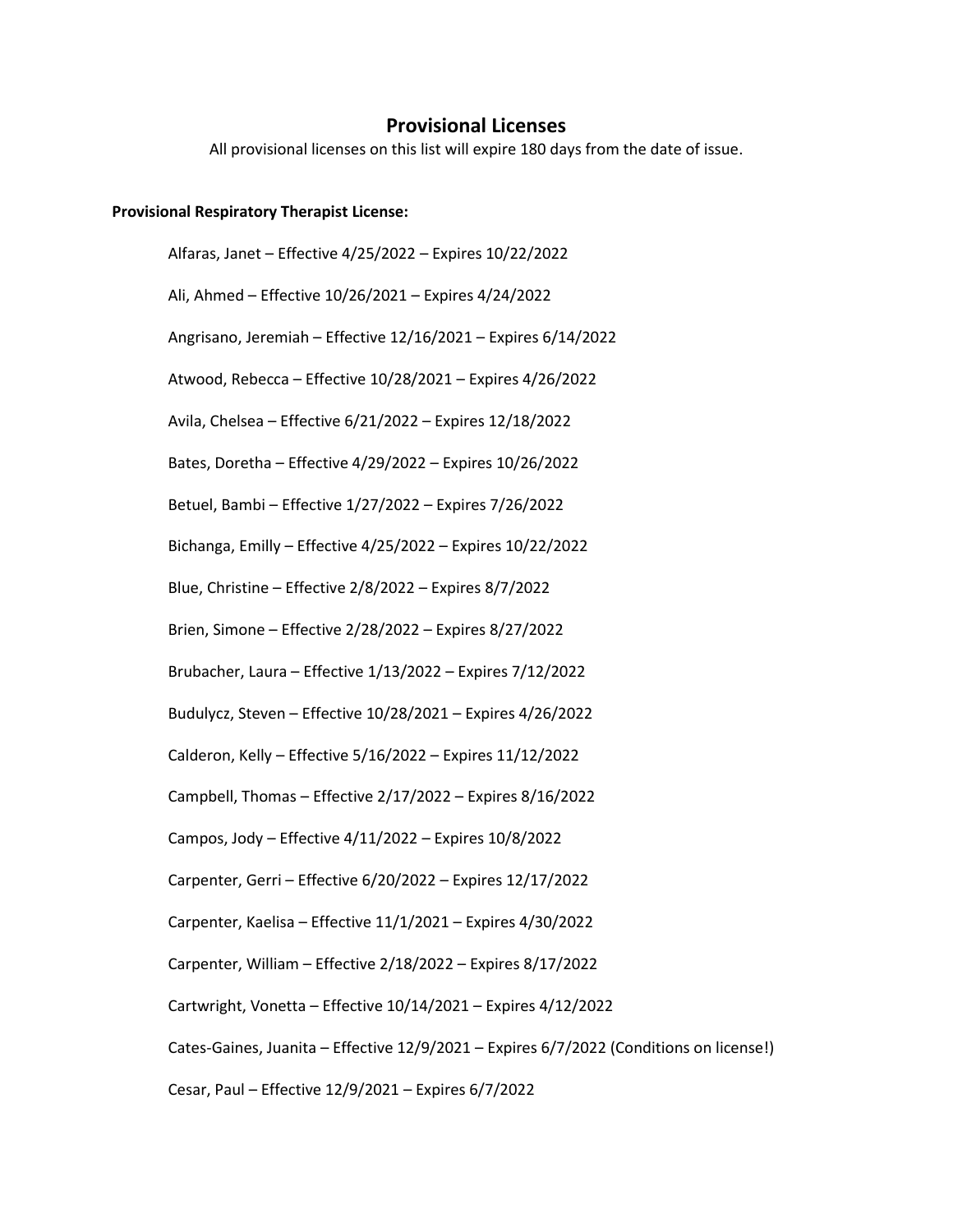## **Provisional Licenses**

All provisional licenses on this list will expire 180 days from the date of issue.

## **Provisional Respiratory Therapist License:**

Alfaras, Janet – Effective 4/25/2022 – Expires 10/22/2022 Ali, Ahmed – Effective 10/26/2021 – Expires 4/24/2022 Angrisano, Jeremiah – Effective 12/16/2021 – Expires 6/14/2022 Atwood, Rebecca – Effective 10/28/2021 – Expires 4/26/2022 Avila, Chelsea – Effective 6/21/2022 – Expires 12/18/2022 Bates, Doretha – Effective 4/29/2022 – Expires 10/26/2022 Betuel, Bambi – Effective 1/27/2022 – Expires 7/26/2022 Bichanga, Emilly – Effective 4/25/2022 – Expires 10/22/2022 Blue, Christine – Effective 2/8/2022 – Expires 8/7/2022 Brien, Simone – Effective 2/28/2022 – Expires 8/27/2022 Brubacher, Laura – Effective 1/13/2022 – Expires 7/12/2022 Budulycz, Steven – Effective 10/28/2021 – Expires 4/26/2022 Calderon, Kelly – Effective 5/16/2022 – Expires 11/12/2022 Campbell, Thomas – Effective 2/17/2022 – Expires 8/16/2022 Campos, Jody – Effective 4/11/2022 – Expires 10/8/2022 Carpenter, Gerri – Effective 6/20/2022 – Expires 12/17/2022 Carpenter, Kaelisa – Effective 11/1/2021 – Expires 4/30/2022 Carpenter, William – Effective 2/18/2022 – Expires 8/17/2022 Cartwright, Vonetta – Effective 10/14/2021 – Expires 4/12/2022 Cates-Gaines, Juanita – Effective 12/9/2021 – Expires 6/7/2022 (Conditions on license!) Cesar, Paul – Effective 12/9/2021 – Expires 6/7/2022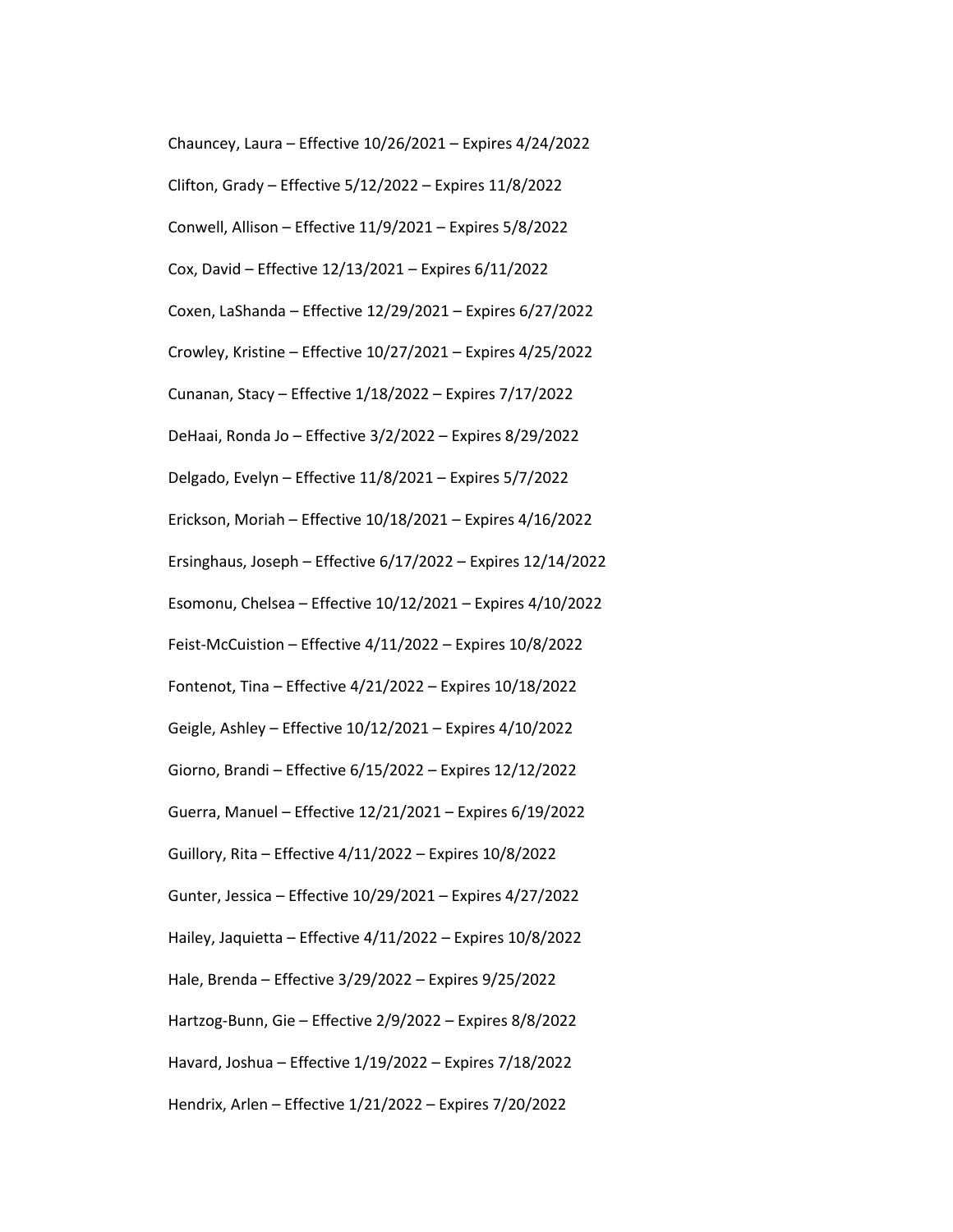Chauncey, Laura – Effective 10/26/2021 – Expires 4/24/2022 Clifton, Grady – Effective 5/12/2022 – Expires 11/8/2022 Conwell, Allison – Effective 11/9/2021 – Expires 5/8/2022 Cox, David – Effective 12/13/2021 – Expires 6/11/2022 Coxen, LaShanda – Effective 12/29/2021 – Expires 6/27/2022 Crowley, Kristine – Effective 10/27/2021 – Expires 4/25/2022 Cunanan, Stacy – Effective 1/18/2022 – Expires 7/17/2022 DeHaai, Ronda Jo – Effective 3/2/2022 – Expires 8/29/2022 Delgado, Evelyn – Effective 11/8/2021 – Expires 5/7/2022 Erickson, Moriah – Effective 10/18/2021 – Expires 4/16/2022 Ersinghaus, Joseph – Effective 6/17/2022 – Expires 12/14/2022 Esomonu, Chelsea – Effective 10/12/2021 – Expires 4/10/2022 Feist-McCuistion – Effective 4/11/2022 – Expires 10/8/2022 Fontenot, Tina – Effective 4/21/2022 – Expires 10/18/2022 Geigle, Ashley – Effective 10/12/2021 – Expires 4/10/2022 Giorno, Brandi – Effective 6/15/2022 – Expires 12/12/2022 Guerra, Manuel – Effective 12/21/2021 – Expires 6/19/2022 Guillory, Rita – Effective 4/11/2022 – Expires 10/8/2022 Gunter, Jessica – Effective 10/29/2021 – Expires 4/27/2022 Hailey, Jaquietta – Effective 4/11/2022 – Expires 10/8/2022 Hale, Brenda – Effective 3/29/2022 – Expires 9/25/2022 Hartzog-Bunn, Gie – Effective 2/9/2022 – Expires 8/8/2022 Havard, Joshua – Effective 1/19/2022 – Expires 7/18/2022 Hendrix, Arlen – Effective 1/21/2022 – Expires 7/20/2022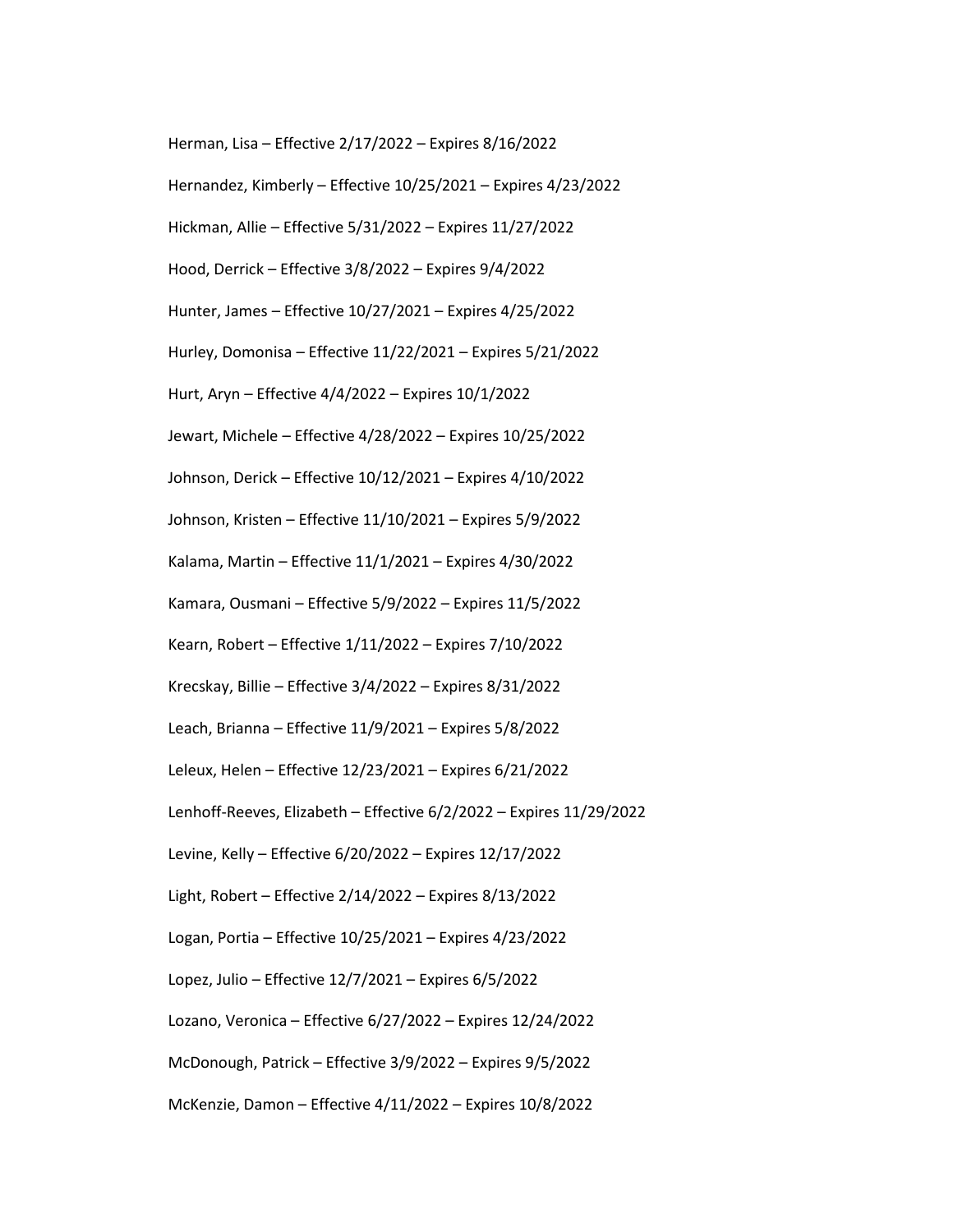Herman, Lisa – Effective 2/17/2022 – Expires 8/16/2022

- Hernandez, Kimberly Effective 10/25/2021 Expires 4/23/2022
- Hickman, Allie Effective 5/31/2022 Expires 11/27/2022
- Hood, Derrick Effective 3/8/2022 Expires 9/4/2022
- Hunter, James Effective 10/27/2021 Expires 4/25/2022
- Hurley, Domonisa Effective 11/22/2021 Expires 5/21/2022
- Hurt, Aryn Effective 4/4/2022 Expires 10/1/2022
- Jewart, Michele Effective 4/28/2022 Expires 10/25/2022
- Johnson, Derick Effective 10/12/2021 Expires 4/10/2022
- Johnson, Kristen Effective 11/10/2021 Expires 5/9/2022
- Kalama, Martin Effective 11/1/2021 Expires 4/30/2022
- Kamara, Ousmani Effective 5/9/2022 Expires 11/5/2022
- Kearn, Robert Effective 1/11/2022 Expires 7/10/2022
- Krecskay, Billie Effective 3/4/2022 Expires 8/31/2022
- Leach, Brianna Effective 11/9/2021 Expires 5/8/2022
- Leleux, Helen Effective 12/23/2021 Expires 6/21/2022
- Lenhoff-Reeves, Elizabeth Effective 6/2/2022 Expires 11/29/2022
- Levine, Kelly Effective 6/20/2022 Expires 12/17/2022
- Light, Robert Effective 2/14/2022 Expires 8/13/2022
- Logan, Portia Effective 10/25/2021 Expires 4/23/2022
- Lopez, Julio Effective 12/7/2021 Expires 6/5/2022
- Lozano, Veronica Effective 6/27/2022 Expires 12/24/2022
- McDonough, Patrick Effective 3/9/2022 Expires 9/5/2022
- McKenzie, Damon Effective 4/11/2022 Expires 10/8/2022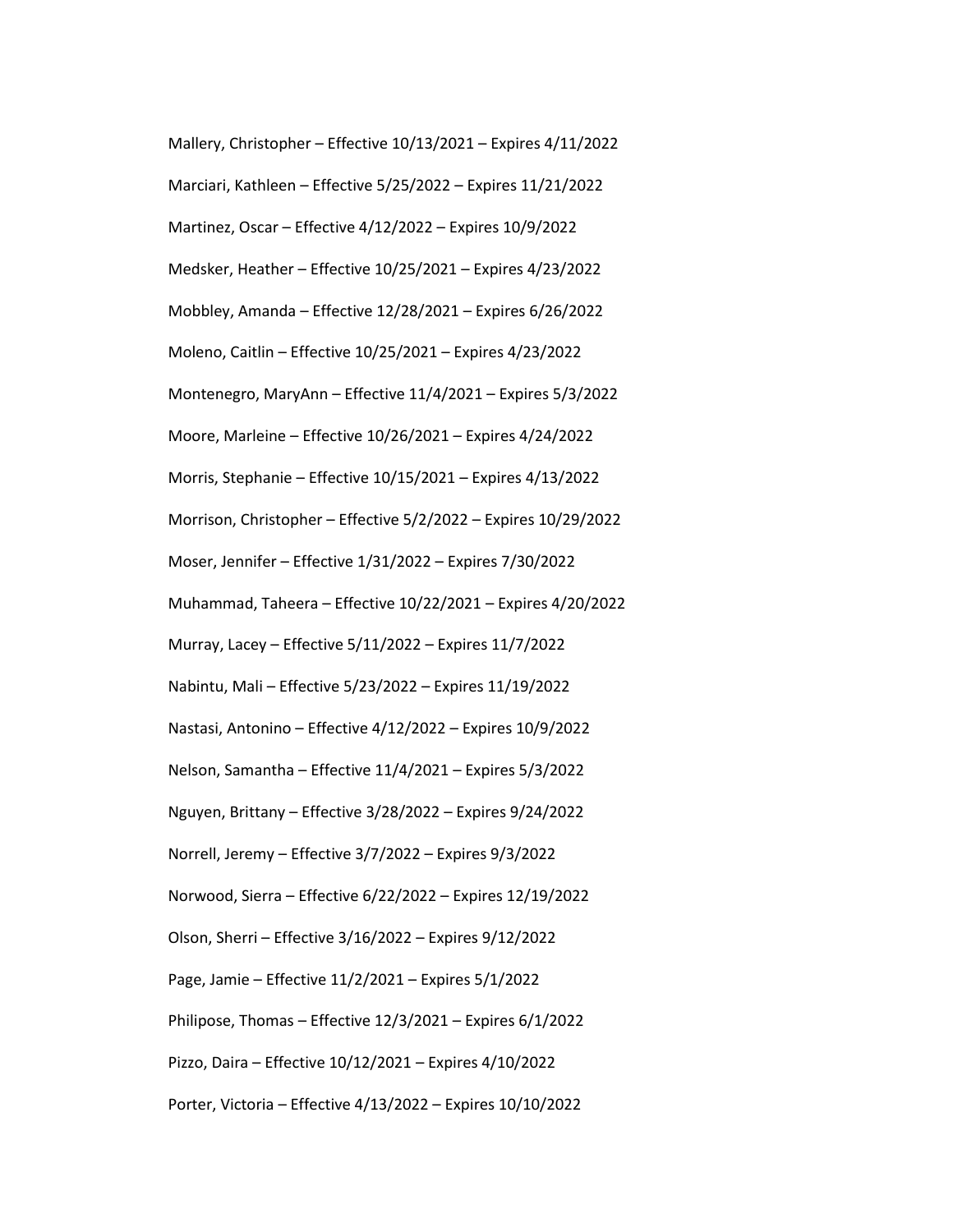Mallery, Christopher – Effective 10/13/2021 – Expires 4/11/2022 Marciari, Kathleen – Effective 5/25/2022 – Expires 11/21/2022 Martinez, Oscar – Effective 4/12/2022 – Expires 10/9/2022 Medsker, Heather – Effective 10/25/2021 – Expires 4/23/2022 Mobbley, Amanda – Effective 12/28/2021 – Expires 6/26/2022 Moleno, Caitlin – Effective 10/25/2021 – Expires 4/23/2022 Montenegro, MaryAnn – Effective 11/4/2021 – Expires 5/3/2022 Moore, Marleine – Effective 10/26/2021 – Expires 4/24/2022 Morris, Stephanie – Effective 10/15/2021 – Expires 4/13/2022 Morrison, Christopher – Effective 5/2/2022 – Expires 10/29/2022 Moser, Jennifer – Effective 1/31/2022 – Expires 7/30/2022 Muhammad, Taheera – Effective 10/22/2021 – Expires 4/20/2022 Murray, Lacey – Effective 5/11/2022 – Expires 11/7/2022 Nabintu, Mali – Effective 5/23/2022 – Expires 11/19/2022 Nastasi, Antonino – Effective 4/12/2022 – Expires 10/9/2022 Nelson, Samantha – Effective 11/4/2021 – Expires 5/3/2022 Nguyen, Brittany – Effective 3/28/2022 – Expires 9/24/2022 Norrell, Jeremy – Effective 3/7/2022 – Expires 9/3/2022 Norwood, Sierra – Effective 6/22/2022 – Expires 12/19/2022 Olson, Sherri – Effective 3/16/2022 – Expires 9/12/2022 Page, Jamie – Effective 11/2/2021 – Expires 5/1/2022 Philipose, Thomas – Effective 12/3/2021 – Expires 6/1/2022 Pizzo, Daira – Effective 10/12/2021 – Expires 4/10/2022 Porter, Victoria – Effective 4/13/2022 – Expires 10/10/2022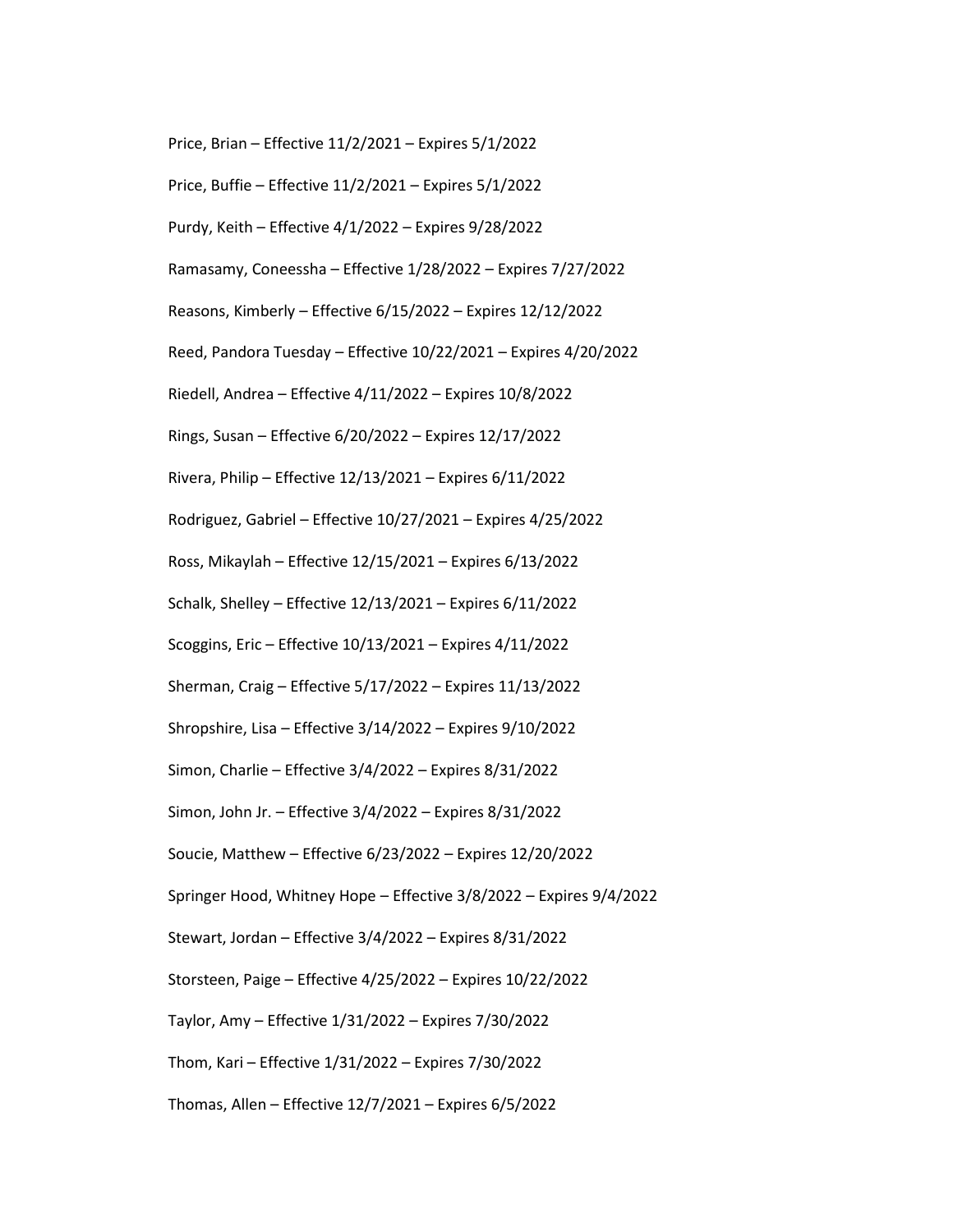Price, Brian – Effective 11/2/2021 – Expires 5/1/2022

Price, Buffie – Effective 11/2/2021 – Expires 5/1/2022

Purdy, Keith – Effective 4/1/2022 – Expires 9/28/2022

Ramasamy, Coneessha – Effective 1/28/2022 – Expires 7/27/2022

Reasons, Kimberly – Effective 6/15/2022 – Expires 12/12/2022

Reed, Pandora Tuesday – Effective 10/22/2021 – Expires 4/20/2022

Riedell, Andrea – Effective 4/11/2022 – Expires 10/8/2022

Rings, Susan – Effective 6/20/2022 – Expires 12/17/2022

Rivera, Philip – Effective 12/13/2021 – Expires 6/11/2022

Rodriguez, Gabriel – Effective 10/27/2021 – Expires 4/25/2022

Ross, Mikaylah – Effective 12/15/2021 – Expires 6/13/2022

Schalk, Shelley – Effective 12/13/2021 – Expires 6/11/2022

Scoggins, Eric – Effective 10/13/2021 – Expires 4/11/2022

Sherman, Craig – Effective 5/17/2022 – Expires 11/13/2022

Shropshire, Lisa – Effective 3/14/2022 – Expires 9/10/2022

Simon, Charlie – Effective 3/4/2022 – Expires 8/31/2022

Simon, John Jr. – Effective 3/4/2022 – Expires 8/31/2022

Soucie, Matthew – Effective 6/23/2022 – Expires 12/20/2022

Springer Hood, Whitney Hope – Effective 3/8/2022 – Expires 9/4/2022

Stewart, Jordan – Effective 3/4/2022 – Expires 8/31/2022

Storsteen, Paige – Effective 4/25/2022 – Expires 10/22/2022

Taylor, Amy – Effective 1/31/2022 – Expires 7/30/2022

Thom, Kari – Effective 1/31/2022 – Expires 7/30/2022

Thomas, Allen – Effective 12/7/2021 – Expires 6/5/2022